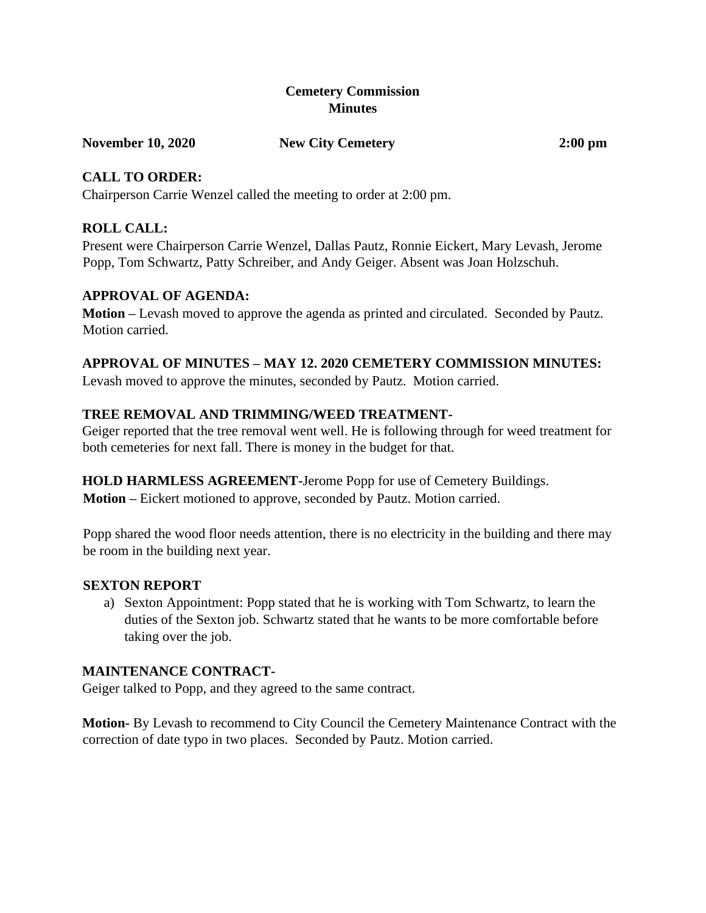### **Cemetery Commission Minutes**

**November 10, 2020 New City Cemetery 2:00 pm** 

### **CALL TO ORDER:**

Chairperson Carrie Wenzel called the meeting to order at 2:00 pm.

# **ROLL CALL:**

Present were Chairperson Carrie Wenzel, Dallas Pautz, Ronnie Eickert, Mary Levash, Jerome Popp, Tom Schwartz, Patty Schreiber, and Andy Geiger. Absent was Joan Holzschuh.

### **APPROVAL OF AGENDA:**

**Motion –** Levash moved to approve the agenda as printed and circulated. Seconded by Pautz. Motion carried.

# **APPROVAL OF MINUTES – MAY 12. 2020 CEMETERY COMMISSION MINUTES:**

Levash moved to approve the minutes, seconded by Pautz. Motion carried.

# **TREE REMOVAL AND TRIMMING/WEED TREATMENT-**

Geiger reported that the tree removal went well. He is following through for weed treatment for both cemeteries for next fall. There is money in the budget for that.

# **HOLD HARMLESS AGREEMENT-**Jerome Popp for use of Cemetery Buildings.

**Motion –** Eickert motioned to approve, seconded by Pautz. Motion carried.

Popp shared the wood floor needs attention, there is no electricity in the building and there may be room in the building next year.

#### **SEXTON REPORT**

a) Sexton Appointment: Popp stated that he is working with Tom Schwartz, to learn the duties of the Sexton job. Schwartz stated that he wants to be more comfortable before taking over the job.

# **MAINTENANCE CONTRACT-**

Geiger talked to Popp, and they agreed to the same contract.

**Motion-** By Levash to recommend to City Council the Cemetery Maintenance Contract with the correction of date typo in two places. Seconded by Pautz. Motion carried.